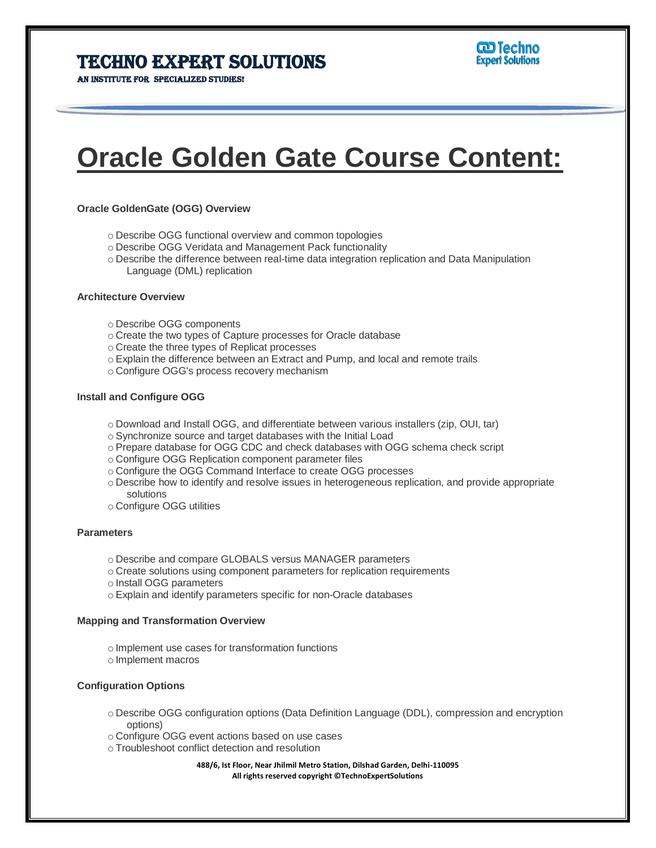### Techno Expert Solutions

AN INSTITUTE FOR SPECIALIZED STUDIES!

# **Oracle Golden Gate Course Content:**

#### **Oracle GoldenGate (OGG) Overview**

- o Describe OGG functional overview and common topologies
- o Describe OGG Veridata and Management Pack functionality
- o Describe the difference between real-time data integration replication and Data Manipulation Language (DML) replication

#### **Architecture Overview**

- o Describe OGG components
- o Create the two types of Capture processes for Oracle database
- o Create the three types of Replicat processes
- o Explain the difference between an Extract and Pump, and local and remote trails
- o Configure OGG's process recovery mechanism

#### **Install and Configure OGG**

- o Download and Install OGG, and differentiate between various installers (zip, OUI, tar)
- o Synchronize source and target databases with the Initial Load
- o Prepare database for OGG CDC and check databases with OGG schema check script
- o Configure OGG Replication component parameter files
- o Configure the OGG Command Interface to create OGG processes
- o Describe how to identify and resolve issues in heterogeneous replication, and provide appropriate solutions
- o Configure OGG utilities

#### **Parameters**

- o Describe and compare GLOBALS versus MANAGER parameters
- o Create solutions using component parameters for replication requirements
- o Install OGG parameters
- o Explain and identify parameters specific for non-Oracle databases

#### **Mapping and Transformation Overview**

- o Implement use cases for transformation functions
- o Implement macros

#### **Configuration Options**

- o Describe OGG configuration options (Data Definition Language (DDL), compression and encryption options)
- o Configure OGG event actions based on use cases
- o Troubleshoot conflict detection and resolution

**488/6, Ist Floor, Near Jhilmil Metro Station, Dilshad Garden, Delhi-110095 All rights reserved copyright ©TechnoExpertSolutions**